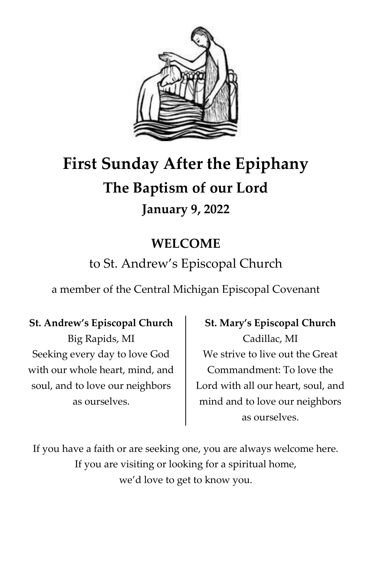

# **First Sunday After the Epiphany The Baptism of our Lord January 9, 2022**

# **WELCOME**

# to St. Andrew's Episcopal Church

a member of the Central Michigan Episcopal Covenant

#### **St. Andrew's Episcopal Church**

Big Rapids, MI Seeking every day to love God with our whole heart, mind, and soul, and to love our neighbors as ourselves.

## **St. Mary's Episcopal Church** Cadillac, MI We strive to live out the Great Commandment: To love the Lord with all our heart, soul, and mind and to love our neighbors as ourselves.

If you have a faith or are seeking one, you are always welcome here. If you are visiting or looking for a spiritual home, we'd love to get to know you.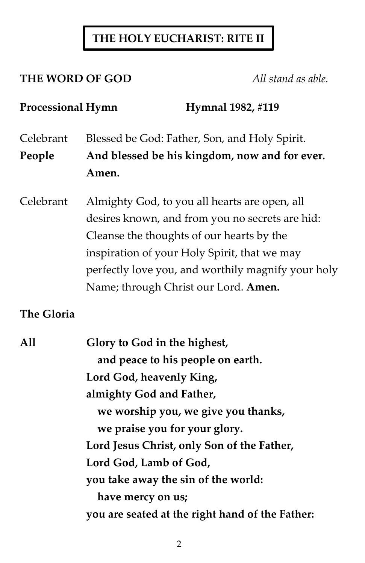### **THE HOLY EUCHARIST: RITE II**

#### **THE WORD OF GOD** *All stand as able.*

### Processional Hymn Hymnal 1982, #119

Celebrant Blessed be God: Father, Son, and Holy Spirit. **People And blessed be his kingdom, now and for ever. Amen.**

Celebrant Almighty God, to you all hearts are open, all desires known, and from you no secrets are hid: Cleanse the thoughts of our hearts by the inspiration of your Holy Spirit, that we may perfectly love you, and worthily magnify your holy Name; through Christ our Lord. **Amen.**

#### **The Gloria**

| All | Glory to God in the highest,                    |
|-----|-------------------------------------------------|
|     | and peace to his people on earth.               |
|     | Lord God, heavenly King,                        |
|     | almighty God and Father,                        |
|     | we worship you, we give you thanks,             |
|     | we praise you for your glory.                   |
|     | Lord Jesus Christ, only Son of the Father,      |
|     | Lord God, Lamb of God,                          |
|     | you take away the sin of the world:             |
|     | have mercy on us;                               |
|     | you are seated at the right hand of the Father: |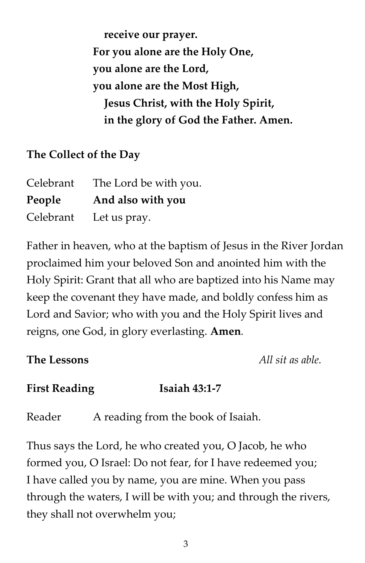**receive our prayer. For you alone are the Holy One, you alone are the Lord, you alone are the Most High, Jesus Christ, with the Holy Spirit, in the glory of God the Father. Amen.**

#### **The Collect of the Day**

| Celebrant | The Lord be with you. |
|-----------|-----------------------|
| People    | And also with you     |
| Celebrant | Let us pray.          |

Father in heaven, who at the baptism of Jesus in the River Jordan proclaimed him your beloved Son and anointed him with the Holy Spirit: Grant that all who are baptized into his Name may keep the covenant they have made, and boldly confess him as Lord and Savior; who with you and the Holy Spirit lives and reigns, one God, in glory everlasting. **Amen***.*

**The Lessons** *All sit as able.*

#### **First Reading Isaiah 43:1-7**

Reader A reading from the book of Isaiah.

Thus says the Lord, he who created you, O Jacob, he who formed you, O Israel: Do not fear, for I have redeemed you; I have called you by name, you are mine. When you pass through the waters, I will be with you; and through the rivers, they shall not overwhelm you;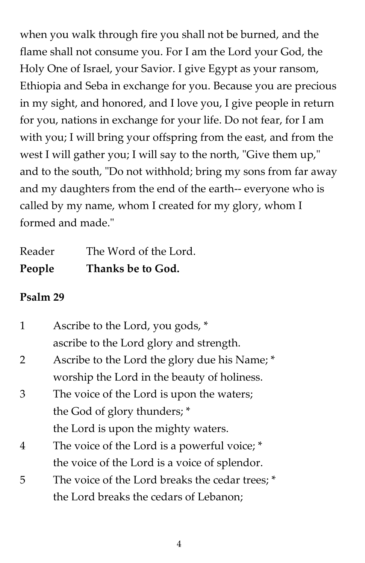when you walk through fire you shall not be burned, and the flame shall not consume you. For I am the Lord your God, the Holy One of Israel, your Savior. I give Egypt as your ransom, Ethiopia and Seba in exchange for you. Because you are precious in my sight, and honored, and I love you, I give people in return for you, nations in exchange for your life. Do not fear, for I am with you; I will bring your offspring from the east, and from the west I will gather you; I will say to the north, "Give them up," and to the south, "Do not withhold; bring my sons from far away and my daughters from the end of the earth-- everyone who is called by my name, whom I created for my glory, whom I formed and made."

| People | Thanks be to God.     |
|--------|-----------------------|
| Reader | The Word of the Lord. |

#### **Psalm 29**

| 1              | Ascribe to the Lord, you gods, *                |
|----------------|-------------------------------------------------|
|                | ascribe to the Lord glory and strength.         |
| 2              | Ascribe to the Lord the glory due his Name; *   |
|                | worship the Lord in the beauty of holiness.     |
| 3              | The voice of the Lord is upon the waters;       |
|                | the God of glory thunders; *                    |
|                | the Lord is upon the mighty waters.             |
| $\overline{4}$ | The voice of the Lord is a powerful voice; *    |
|                | the voice of the Lord is a voice of splendor.   |
| 5              | The voice of the Lord breaks the cedar trees; * |
|                | the Lord breaks the cedars of Lebanon;          |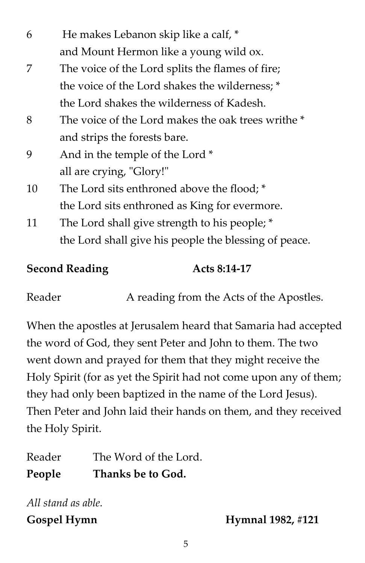| 6  | He makes Lebanon skip like a calf, *                  |
|----|-------------------------------------------------------|
|    | and Mount Hermon like a young wild ox.                |
| 7  | The voice of the Lord splits the flames of fire;      |
|    | the voice of the Lord shakes the wilderness; *        |
|    | the Lord shakes the wilderness of Kadesh.             |
| 8  | The voice of the Lord makes the oak trees writhe *    |
|    | and strips the forests bare.                          |
| 9  | And in the temple of the Lord *                       |
|    | all are crying, "Glory!"                              |
| 10 | The Lord sits enthroned above the flood; *            |
|    | the Lord sits enthroned as King for evermore.         |
| 11 | The Lord shall give strength to his people; *         |
|    | the Lord shall give his people the blessing of peace. |
|    |                                                       |

**Second Reading Acts 8:14-17**

Reader A reading from the Acts of the Apostles.

When the apostles at Jerusalem heard that Samaria had accepted the word of God, they sent Peter and John to them. The two went down and prayed for them that they might receive the Holy Spirit (for as yet the Spirit had not come upon any of them; they had only been baptized in the name of the Lord Jesus). Then Peter and John laid their hands on them, and they received the Holy Spirit.

Reader The Word of the Lord. **People Thanks be to God.**

*All stand as able.*

**Gospel Hymn Hymnal 1982, #121**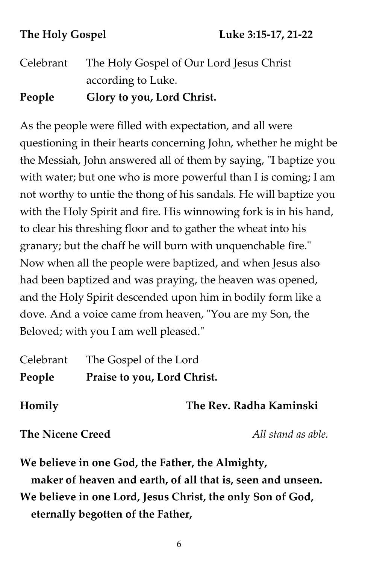Celebrant The Holy Gospel of Our Lord Jesus Christ according to Luke. **People Glory to you, Lord Christ.**

As the people were filled with expectation, and all were questioning in their hearts concerning John, whether he might be the Messiah, John answered all of them by saying, "I baptize you with water; but one who is more powerful than I is coming; I am not worthy to untie the thong of his sandals. He will baptize you with the Holy Spirit and fire. His winnowing fork is in his hand, to clear his threshing floor and to gather the wheat into his granary; but the chaff he will burn with unquenchable fire." Now when all the people were baptized, and when Jesus also had been baptized and was praying, the heaven was opened, and the Holy Spirit descended upon him in bodily form like a dove. And a voice came from heaven, "You are my Son, the Beloved; with you I am well pleased."

| Celebrant<br>People               | The Gospel of the Lord<br>Praise to you, Lord Christ. |                                                                                                                 |
|-----------------------------------|-------------------------------------------------------|-----------------------------------------------------------------------------------------------------------------|
| Homily                            |                                                       | The Rev. Radha Kaminski                                                                                         |
| <b>The Nicene Creed</b>           |                                                       | All stand as able.                                                                                              |
|                                   |                                                       | We believe in one God, the Father, the Almighty,<br>maker of heaven and earth, of all that is, seen and unseen. |
|                                   |                                                       | We believe in one Lord, Jesus Christ, the only Son of God,                                                      |
| eternally begotten of the Father, |                                                       |                                                                                                                 |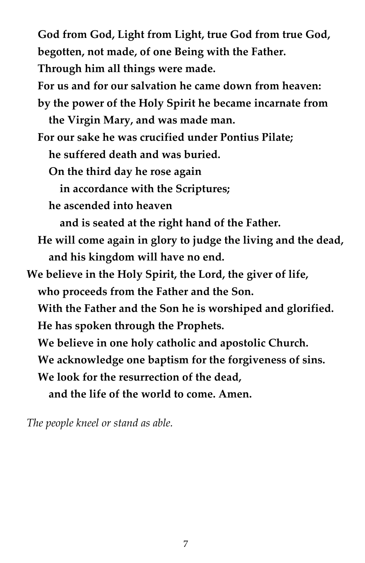**God from God, Light from Light, true God from true God, begotten, not made, of one Being with the Father. Through him all things were made. For us and for our salvation he came down from heaven: by the power of the Holy Spirit he became incarnate from** 

 **the Virgin Mary, and was made man.**

 **For our sake he was crucified under Pontius Pilate;**

 **he suffered death and was buried.**

 **On the third day he rose again**

 **in accordance with the Scriptures;**

 **he ascended into heaven**

 **and is seated at the right hand of the Father.**

 **He will come again in glory to judge the living and the dead, and his kingdom will have no end.**

**We believe in the Holy Spirit, the Lord, the giver of life, who proceeds from the Father and the Son. With the Father and the Son he is worshiped and glorified. He has spoken through the Prophets. We believe in one holy catholic and apostolic Church. We acknowledge one baptism for the forgiveness of sins. We look for the resurrection of the dead,**

 **and the life of the world to come. Amen.**

*The people kneel or stand as able.*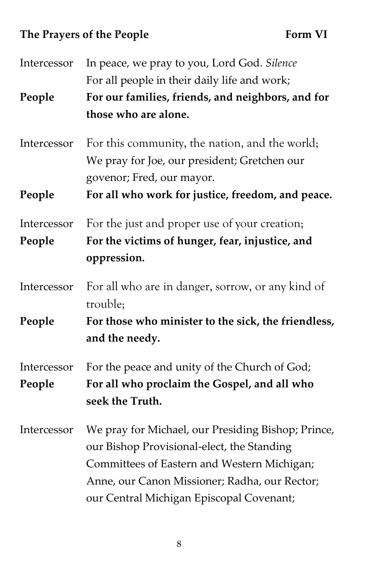# The Prayers of the People **Form VI**

| Intercessor           | In peace, we pray to you, Lord God. Silence                                                                                                                                                                                                  |
|-----------------------|----------------------------------------------------------------------------------------------------------------------------------------------------------------------------------------------------------------------------------------------|
|                       | For all people in their daily life and work;                                                                                                                                                                                                 |
| People                | For our families, friends, and neighbors, and for                                                                                                                                                                                            |
|                       | those who are alone.                                                                                                                                                                                                                         |
| Intercessor           | For this community, the nation, and the world;<br>We pray for Joe, our president; Gretchen our<br>govenor; Fred, our mayor.                                                                                                                  |
| People                | For all who work for justice, freedom, and peace.                                                                                                                                                                                            |
| Intercessor           | For the just and proper use of your creation;                                                                                                                                                                                                |
| People                | For the victims of hunger, fear, injustice, and<br>oppression.                                                                                                                                                                               |
| Intercessor           | For all who are in danger, sorrow, or any kind of<br>trouble;                                                                                                                                                                                |
| People                | For those who minister to the sick, the friendless,<br>and the needy.                                                                                                                                                                        |
| Intercessor<br>People | For the peace and unity of the Church of God;<br>For all who proclaim the Gospel, and all who<br>seek the Truth.                                                                                                                             |
| Intercessor           | We pray for Michael, our Presiding Bishop; Prince,<br>our Bishop Provisional-elect, the Standing<br>Committees of Eastern and Western Michigan;<br>Anne, our Canon Missioner; Radha, our Rector;<br>our Central Michigan Episcopal Covenant; |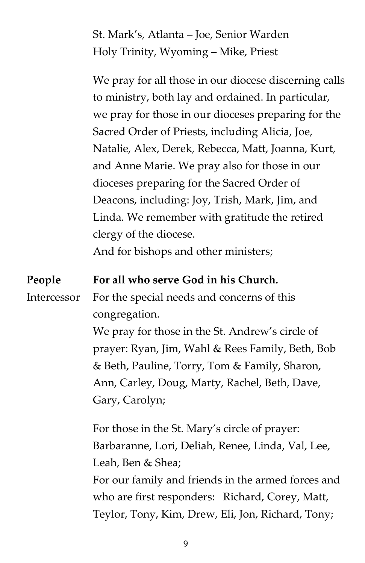St. Mark's, Atlanta – Joe, Senior Warden Holy Trinity, Wyoming – Mike, Priest

We pray for all those in our diocese discerning calls to ministry, both lay and ordained. In particular, we pray for those in our dioceses preparing for the Sacred Order of Priests, including Alicia, Joe, Natalie, Alex, Derek, Rebecca, Matt, Joanna, Kurt, and Anne Marie. We pray also for those in our dioceses preparing for the Sacred Order of Deacons, including: Joy, Trish, Mark, Jim, and Linda. We remember with gratitude the retired clergy of the diocese. And for bishops and other ministers; **People For all who serve God in his Church.**

Intercessor For the special needs and concerns of this congregation.

> We pray for those in the St. Andrew's circle of prayer: Ryan, Jim, Wahl & Rees Family, Beth, Bob & Beth, Pauline, Torry, Tom & Family, Sharon, Ann, Carley, Doug, Marty, Rachel, Beth, Dave, Gary, Carolyn;

For those in the St. Mary's circle of prayer: Barbaranne, Lori, Deliah, Renee, Linda, Val, Lee, Leah, Ben & Shea; For our family and friends in the armed forces and who are first responders: Richard, Corey, Matt,

Teylor, Tony, Kim, Drew, Eli, Jon, Richard, Tony;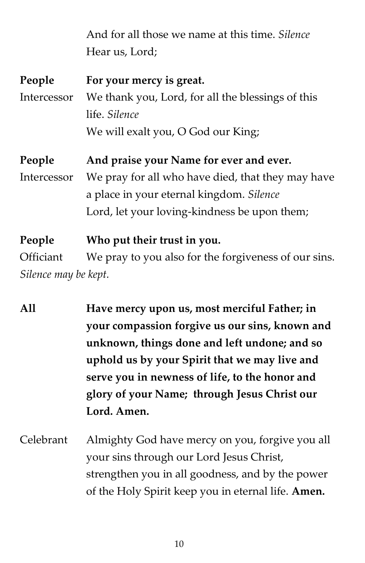|                      | And for all those we name at this time. Silence      |
|----------------------|------------------------------------------------------|
|                      | Hear us, Lord;                                       |
| People               | For your mercy is great.                             |
| Intercessor          | We thank you, Lord, for all the blessings of this    |
|                      | life. Silence                                        |
|                      | We will exalt you, O God our King;                   |
| People               | And praise your Name for ever and ever.              |
| Intercessor          | We pray for all who have died, that they may have    |
|                      | a place in your eternal kingdom. Silence             |
|                      | Lord, let your loving-kindness be upon them;         |
| People               | Who put their trust in you.                          |
| Officiant            | We pray to you also for the forgiveness of our sins. |
| Silence may be kept. |                                                      |

- **All Have mercy upon us, most merciful Father; in your compassion forgive us our sins, known and unknown, things done and left undone; and so uphold us by your Spirit that we may live and serve you in newness of life, to the honor and glory of your Name; through Jesus Christ our Lord. Amen.**
- Celebrant Almighty God have mercy on you, forgive you all your sins through our Lord Jesus Christ, strengthen you in all goodness, and by the power of the Holy Spirit keep you in eternal life. **Amen.**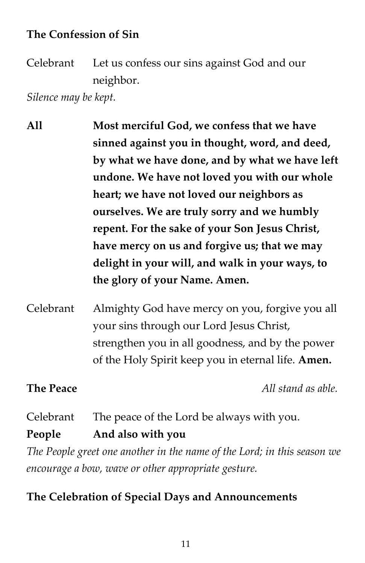#### **The Confession of Sin**

Celebrant Let us confess our sins against God and our neighbor.

*Silence may be kept.*

**All Most merciful God, we confess that we have sinned against you in thought, word, and deed, by what we have done, and by what we have left undone. We have not loved you with our whole heart; we have not loved our neighbors as ourselves. We are truly sorry and we humbly repent. For the sake of your Son Jesus Christ, have mercy on us and forgive us; that we may delight in your will, and walk in your ways, to the glory of your Name. Amen.** 

Celebrant Almighty God have mercy on you, forgive you all your sins through our Lord Jesus Christ, strengthen you in all goodness, and by the power of the Holy Spirit keep you in eternal life. **Amen.**

**The Peace** *All stand as able.*

Celebrant The peace of the Lord be always with you. **People And also with you** *The People greet one another in the name of the Lord; in this season we encourage a bow, wave or other appropriate gesture.*

#### **The Celebration of Special Days and Announcements**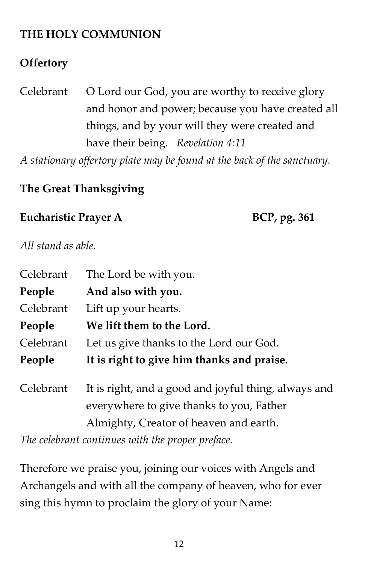### **THE HOLY COMMUNION**

#### **Offertory**

Celebrant O Lord our God, you are worthy to receive glory and honor and power; because you have created all things, and by your will they were created and have their being. *Revelation 4:11*

*A stationary offertory plate may be found at the back of the sanctuary.*

### **The Great Thanksgiving**

#### Eucharistic Prayer A **BCP**, pg. 361

*All stand as able.*

| Celebrant | The Lord be with you.                      |
|-----------|--------------------------------------------|
| People    | And also with you.                         |
| Celebrant | Lift up your hearts.                       |
| People    | We lift them to the Lord.                  |
| Celebrant | Let us give thanks to the Lord our God.    |
|           |                                            |
| People    | It is right to give him thanks and praise. |

*The celebrant continues with the proper preface.*

Therefore we praise you, joining our voices with Angels and Archangels and with all the company of heaven, who for ever sing this hymn to proclaim the glory of your Name: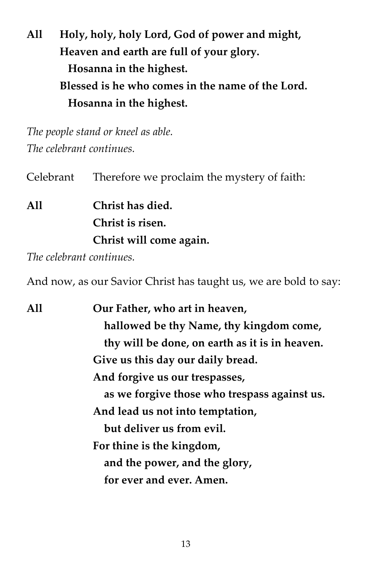**All Holy, holy, holy Lord, God of power and might, Heaven and earth are full of your glory. Hosanna in the highest. Blessed is he who comes in the name of the Lord. Hosanna in the highest.**

*The people stand or kneel as able. The celebrant continues.*

Celebrant Therefore we proclaim the mystery of faith:

**All Christ has died. Christ is risen. Christ will come again.**

*The celebrant continues.*

And now, as our Savior Christ has taught us, we are bold to say:

| A11 | Our Father, who art in heaven,                 |
|-----|------------------------------------------------|
|     | hallowed be thy Name, thy kingdom come,        |
|     | thy will be done, on earth as it is in heaven. |
|     | Give us this day our daily bread.              |
|     | And forgive us our trespasses,                 |
|     | as we forgive those who trespass against us.   |
|     | And lead us not into temptation,               |
|     | but deliver us from evil.                      |
|     | For thine is the kingdom,                      |
|     | and the power, and the glory,                  |
|     | for ever and ever. Amen.                       |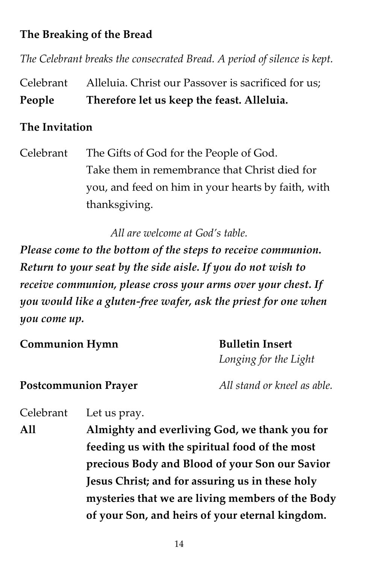### **The Breaking of the Bread**

*The Celebrant breaks the consecrated Bread. A period of silence is kept.*

Celebrant Alleluia. Christ our Passover is sacrificed for us; **People Therefore let us keep the feast. Alleluia.**

#### **The Invitation**

Celebrant The Gifts of God for the People of God. Take them in remembrance that Christ died for you, and feed on him in your hearts by faith, with thanksgiving.

*All are welcome at God's table.*

*Please come to the bottom of the steps to receive communion. Return to your seat by the side aisle. If you do not wish to receive communion, please cross your arms over your chest. If you would like a gluten-free wafer, ask the priest for one when you come up.*

**Communion Hymn Bulletin Insert**  *Longing for the Light* **Postcommunion Prayer** *All stand or kneel as able.*

Celebrant Let us pray.

**All Almighty and everliving God, we thank you for feeding us with the spiritual food of the most precious Body and Blood of your Son our Savior Jesus Christ; and for assuring us in these holy mysteries that we are living members of the Body of your Son, and heirs of your eternal kingdom.**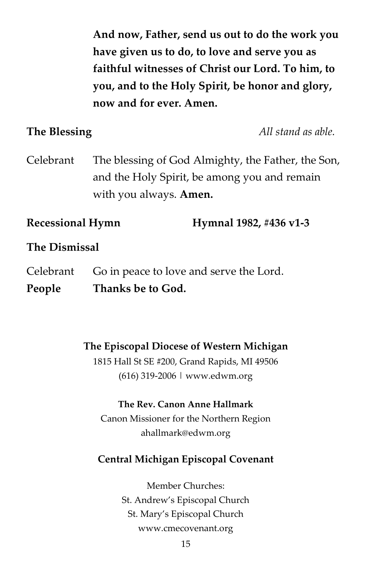**And now, Father, send us out to do the work you have given us to do, to love and serve you as faithful witnesses of Christ our Lord. To him, to you, and to the Holy Spirit, be honor and glory, now and for ever. Amen.**

**The Blessing** *All stand as able.*

Celebrant The blessing of God Almighty, the Father, the Son, and the Holy Spirit, be among you and remain with you always. **Amen.**

**Recessional Hymn Hymnal 1982, #436 v1-3**

#### **The Dismissal**

Celebrant Go in peace to love and serve the Lord. **People Thanks be to God.**

> **The Episcopal Diocese of Western Michigan** 1815 Hall St SE #200, Grand Rapids, MI 49506

> > (616) 319-2006 | www.edwm.org

#### **The Rev. Canon Anne Hallmark**

Canon Missioner for the Northern Region ahallmark@edwm.org

#### **Central Michigan Episcopal Covenant**

Member Churches: St. Andrew's Episcopal Church St. Mary's Episcopal Church www.cmecovenant.org